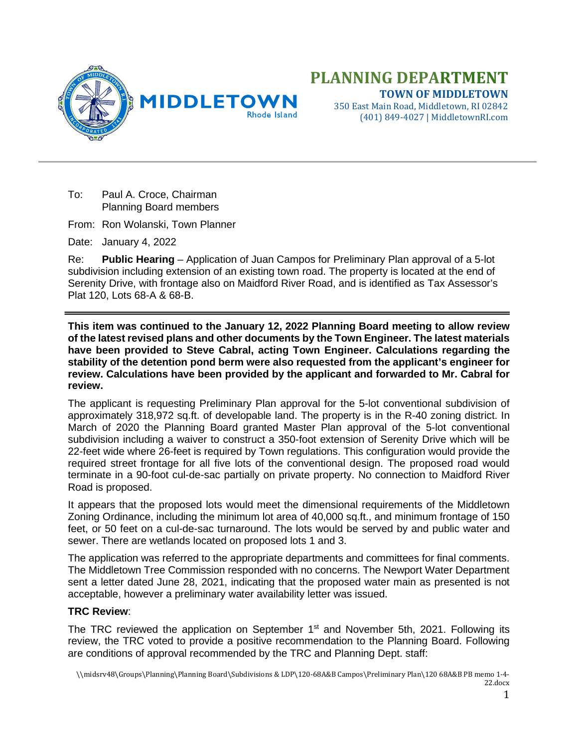

(401) 849-4027 | MiddletownRI.com

To: Paul A. Croce, Chairman Planning Board members

From: Ron Wolanski, Town Planner

Date: January 4, 2022

Re: **Public Hearing** – Application of Juan Campos for Preliminary Plan approval of a 5-lot subdivision including extension of an existing town road. The property is located at the end of Serenity Drive, with frontage also on Maidford River Road, and is identified as Tax Assessor's Plat 120, Lots 68-A & 68-B.

**This item was continued to the January 12, 2022 Planning Board meeting to allow review of the latest revised plans and other documents by the Town Engineer. The latest materials have been provided to Steve Cabral, acting Town Engineer. Calculations regarding the stability of the detention pond berm were also requested from the applicant's engineer for review. Calculations have been provided by the applicant and forwarded to Mr. Cabral for review.**

The applicant is requesting Preliminary Plan approval for the 5-lot conventional subdivision of approximately 318,972 sq.ft. of developable land. The property is in the R-40 zoning district. In March of 2020 the Planning Board granted Master Plan approval of the 5-lot conventional subdivision including a waiver to construct a 350-foot extension of Serenity Drive which will be 22-feet wide where 26-feet is required by Town regulations. This configuration would provide the required street frontage for all five lots of the conventional design. The proposed road would terminate in a 90-foot cul-de-sac partially on private property. No connection to Maidford River Road is proposed.

It appears that the proposed lots would meet the dimensional requirements of the Middletown Zoning Ordinance, including the minimum lot area of 40,000 sq.ft., and minimum frontage of 150 feet, or 50 feet on a cul-de-sac turnaround. The lots would be served by and public water and sewer. There are wetlands located on proposed lots 1 and 3.

The application was referred to the appropriate departments and committees for final comments. The Middletown Tree Commission responded with no concerns. The Newport Water Department sent a letter dated June 28, 2021, indicating that the proposed water main as presented is not acceptable, however a preliminary water availability letter was issued.

## **TRC Review**:

The TRC reviewed the application on September 1<sup>st</sup> and November 5th, 2021. Following its review, the TRC voted to provide a positive recommendation to the Planning Board. Following are conditions of approval recommended by the TRC and Planning Dept. staff: